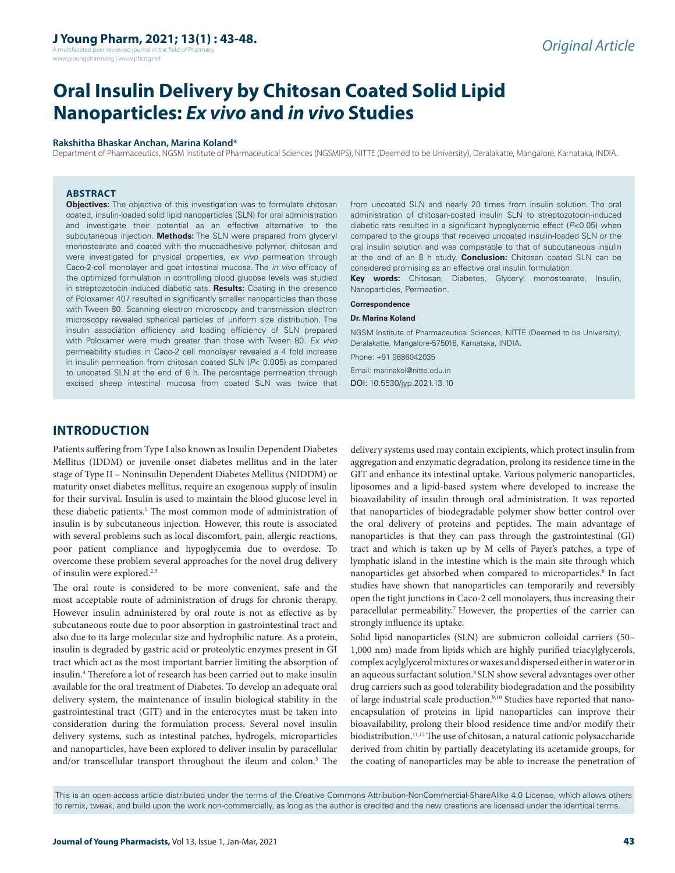A multifaceted peer reviewed journal in the field of Pharm www.jyoungpharm.org | www.phcog.net

# **Oral Insulin Delivery by Chitosan Coated Solid Lipid Nanoparticles:** *Ex vivo* **and** *in vivo* **Studies**

#### **Rakshitha Bhaskar Anchan, Marina Koland\***

Department of Pharmaceutics, NGSM Institute of Pharmaceutical Sciences (NGSMIPS), NITTE (Deemed to be University), Deralakatte, Mangalore, Karnataka, INDIA.

#### **ABSTRACT**

**Objectives:** The objective of this investigation was to formulate chitosan coated, insulin-loaded solid lipid nanoparticles (SLN) for oral administration and investigate their potential as an effective alternative to the subcutaneous injection. **Methods:** The SLN were prepared from glyceryl monostearate and coated with the mucoadhesive polymer, chitosan and were investigated for physical properties, *ex vivo* permeation through Caco-2-cell monolayer and goat intestinal mucosa. The *in vivo* efficacy of the optimized formulation in controlling blood glucose levels was studied in streptozotocin induced diabetic rats. **Results:** Coating in the presence of Poloxamer 407 resulted in significantly smaller nanoparticles than those with Tween 80. Scanning electron microscopy and transmission electron microscopy revealed spherical particles of uniform size distribution. The insulin association efficiency and loading efficiency of SLN prepared with Poloxamer were much greater than those with Tween 80. *Ex vivo*  permeability studies in Caco-2 cell monolayer revealed a 4 fold increase in insulin permeation from chitosan coated SLN (*P*< 0.005) as compared to uncoated SLN at the end of 6 h. The percentage permeation through excised sheep intestinal mucosa from coated SLN was twice that

from uncoated SLN and nearly 20 times from insulin solution. The oral administration of chitosan-coated insulin SLN to streptozotocin-induced diabetic rats resulted in a significant hypoglycemic effect (*P*<0.05) when compared to the groups that received uncoated insulin-loaded SLN or the oral insulin solution and was comparable to that of subcutaneous insulin at the end of an 8 h study. **Conclusion:** Chitosan coated SLN can be considered promising as an effective oral insulin formulation.

**Key words:** Chitosan, Diabetes, Glyceryl monostearate, Insulin, Nanoparticles, Permeation.

#### **Correspondence**

#### **Dr. Marina Koland**

NGSM Institute of Pharmaceutical Sciences, NITTE (Deemed to be University), Deralakatte, Mangalore-575018, Karnataka, INDIA.

Phone: +91 9886042035 Email: marinakol@nitte.edu.in DOI: 10.5530/jyp.2021.13.10

# **INTRODUCTION**

Patients suffering from Type I also known as Insulin Dependent Diabetes Mellitus (IDDM) or juvenile onset diabetes mellitus and in the later stage of Type II – Noninsulin Dependent Diabetes Mellitus (NIDDM) or maturity onset diabetes mellitus, require an exogenous supply of insulin for their survival. Insulin is used to maintain the blood glucose level in these diabetic patients.<sup>1</sup> The most common mode of administration of insulin is by subcutaneous injection. However, this route is associated with several problems such as local discomfort, pain, allergic reactions, poor patient compliance and hypoglycemia due to overdose. To overcome these problem several approaches for the novel drug delivery of insulin were explored.2,3

The oral route is considered to be more convenient, safe and the most acceptable route of administration of drugs for chronic therapy. However insulin administered by oral route is not as effective as by subcutaneous route due to poor absorption in gastrointestinal tract and also due to its large molecular size and hydrophilic nature. As a protein, insulin is degraded by gastric acid or proteolytic enzymes present in GI tract which act as the most important barrier limiting the absorption of insulin.4 Therefore a lot of research has been carried out to make insulin available for the oral treatment of Diabetes. To develop an adequate oral delivery system, the maintenance of insulin biological stability in the gastrointestinal tract (GIT) and in the enterocytes must be taken into consideration during the formulation process. Several novel insulin delivery systems, such as intestinal patches, hydrogels, microparticles and nanoparticles, have been explored to deliver insulin by paracellular and/or transcellular transport throughout the ileum and colon.<sup>5</sup> The delivery systems used may contain excipients, which protect insulin from aggregation and enzymatic degradation, prolong its residence time in the GIT and enhance its intestinal uptake. Various polymeric nanoparticles, liposomes and a lipid-based system where developed to increase the bioavailability of insulin through oral administration. It was reported that nanoparticles of biodegradable polymer show better control over the oral delivery of proteins and peptides. The main advantage of nanoparticles is that they can pass through the gastrointestinal (GI) tract and which is taken up by M cells of Payer's patches, a type of lymphatic island in the intestine which is the main site through which nanoparticles get absorbed when compared to microparticles.<sup>6</sup> In fact studies have shown that nanoparticles can temporarily and reversibly open the tight junctions in Caco-2 cell monolayers, thus increasing their paracellular permeability.<sup>7</sup> However, the properties of the carrier can strongly influence its uptake.

Solid lipid nanoparticles (SLN) are submicron colloidal carriers (50– 1,000 nm) made from lipids which are highly purified triacylglycerols, complex acylglycerol mixtures or waxes and dispersed either in water or in an aqueous surfactant solution.<sup>8</sup> SLN show several advantages over other drug carriers such as good tolerability biodegradation and the possibility of large industrial scale production.<sup>9,10</sup> Studies have reported that nanoencapsulation of proteins in lipid nanoparticles can improve their bioavailability, prolong their blood residence time and/or modify their biodistribution.<sup>11,12</sup> The use of chitosan, a natural cationic polysaccharide derived from chitin by partially deacetylating its acetamide groups, for the coating of nanoparticles may be able to increase the penetration of

This is an open access article distributed under the terms of the Creative Commons Attribution-NonCommercial-ShareAlike 4.0 License, which allows others to remix, tweak, and build upon the work non-commercially, as long as the author is credited and the new creations are licensed under the identical terms.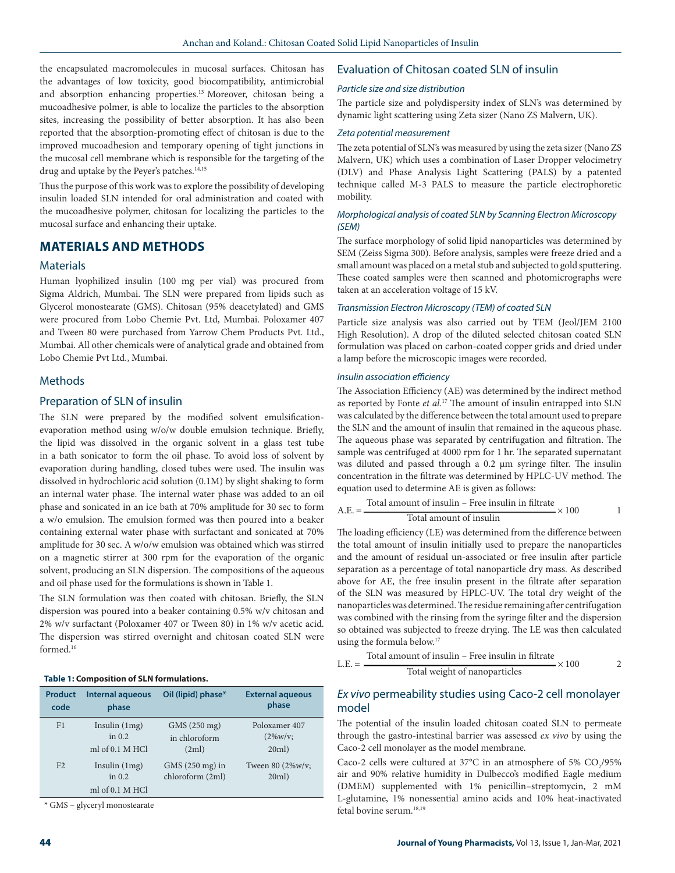the encapsulated macromolecules in mucosal surfaces. Chitosan has the advantages of low toxicity, good biocompatibility, antimicrobial and absorption enhancing properties.13 Moreover, chitosan being a mucoadhesive polmer, is able to localize the particles to the absorption sites, increasing the possibility of better absorption. It has also been reported that the absorption-promoting effect of chitosan is due to the improved mucoadhesion and temporary opening of tight junctions in the mucosal cell membrane which is responsible for the targeting of the drug and uptake by the Peyer's patches.<sup>14,15</sup>

Thus the purpose of this work was to explore the possibility of developing insulin loaded SLN intended for oral administration and coated with the mucoadhesive polymer, chitosan for localizing the particles to the mucosal surface and enhancing their uptake.

# **MATERIALS AND METHODS**

## **Materials**

Human lyophilized insulin (100 mg per vial) was procured from Sigma Aldrich, Mumbai. The SLN were prepared from lipids such as Glycerol monostearate (GMS). Chitosan (95% deacetylated) and GMS were procured from Lobo Chemie Pvt. Ltd, Mumbai. Poloxamer 407 and Tween 80 were purchased from Yarrow Chem Products Pvt. Ltd., Mumbai. All other chemicals were of analytical grade and obtained from Lobo Chemie Pvt Ltd., Mumbai.

# Methods

# Preparation of SLN of insulin

The SLN were prepared by the modified solvent emulsificationevaporation method using w/o/w double emulsion technique. Briefly, the lipid was dissolved in the organic solvent in a glass test tube in a bath sonicator to form the oil phase. To avoid loss of solvent by evaporation during handling, closed tubes were used. The insulin was dissolved in hydrochloric acid solution (0.1M) by slight shaking to form an internal water phase. The internal water phase was added to an oil phase and sonicated in an ice bath at 70% amplitude for 30 sec to form a w/o emulsion. The emulsion formed was then poured into a beaker containing external water phase with surfactant and sonicated at 70% amplitude for 30 sec. A w/o/w emulsion was obtained which was stirred on a magnetic stirrer at 300 rpm for the evaporation of the organic solvent, producing an SLN dispersion. The compositions of the aqueous and oil phase used for the formulations is shown in Table 1.

The SLN formulation was then coated with chitosan. Briefly, the SLN dispersion was poured into a beaker containing 0.5% w/v chitosan and 2% w/v surfactant (Poloxamer 407 or Tween 80) in 1% w/v acetic acid. The dispersion was stirred overnight and chitosan coated SLN were formed.16

#### **Table 1: Composition of SLN formulations.**

| <b>Product</b> | <b>Internal aqueous</b>                        | Oil (lipid) phase*                  | <b>External aqueous</b>   |
|----------------|------------------------------------------------|-------------------------------------|---------------------------|
| code           | phase                                          |                                     | phase                     |
| F1             | Insulin $(1mg)$                                | GMS (250 mg)                        | Poloxamer 407             |
|                | in $0.2$                                       | in chloroform                       | $(2\%w/v;$                |
|                | ml of 0.1 M HCl                                | (2ml)                               | 20ml)                     |
| F <sub>2</sub> | Insulin $(1mg)$<br>in $0.2$<br>ml of 0.1 M HCl | GMS (250 mg) in<br>chloroform (2ml) | Tween 80 (2%w/v;<br>20ml) |

\* GMS – glyceryl monostearate

# Evaluation of Chitosan coated SLN of insulin

## *Particle size and size distribution*

The particle size and polydispersity index of SLN's was determined by dynamic light scattering using Zeta sizer (Nano ZS Malvern, UK).

#### *Zeta potential measurement*

The zeta potential of SLN's was measured by using the zeta sizer (Nano ZS Malvern, UK) which uses a combination of Laser Dropper velocimetry (DLV) and Phase Analysis Light Scattering (PALS) by a patented technique called M-3 PALS to measure the particle electrophoretic mobility.

### *Morphological analysis of coated SLN by Scanning Electron Microscopy (SEM)*

The surface morphology of solid lipid nanoparticles was determined by SEM (Zeiss Sigma 300). Before analysis, samples were freeze dried and a small amount was placed on a metal stub and subjected to gold sputtering. These coated samples were then scanned and photomicrographs were taken at an acceleration voltage of 15 kV.

#### *Transmission Electron Microscopy (TEM) of coated SLN*

Particle size analysis was also carried out by TEM (Jeol/JEM 2100 High Resolution). A drop of the diluted selected chitosan coated SLN formulation was placed on carbon-coated copper grids and dried under a lamp before the microscopic images were recorded.

#### *Insulin association efficiency*

The Association Efficiency (AE) was determined by the indirect method as reported by Fonte *et al.*17 The amount of insulin entrapped into SLN was calculated by the difference between the total amount used to prepare the SLN and the amount of insulin that remained in the aqueous phase. The aqueous phase was separated by centrifugation and filtration. The sample was centrifuged at 4000 rpm for 1 hr. The separated supernatant was diluted and passed through a 0.2 µm syringe filter. The insulin concentration in the filtrate was determined by HPLC-UV method. The equation used to determine AE is given as follows:

A.E. = 
$$
\frac{\text{Total amount of insulin - Free insulin in filtrate}}{\text{Total amount of insulin}} \times 100
$$
 1

The loading efficiency (LE) was determined from the difference between the total amount of insulin initially used to prepare the nanoparticles and the amount of residual un-associated or free insulin after particle separation as a percentage of total nanoparticle dry mass. As described above for AE, the free insulin present in the filtrate after separation of the SLN was measured by HPLC-UV. The total dry weight of the nanoparticles was determined. The residue remaining after centrifugation was combined with the rinsing from the syringe filter and the dispersion so obtained was subjected to freeze drying. The LE was then calculated using the formula below.17

L.E. = 
$$
\frac{\text{Total amount of insulin - Free insulin in filtrate}}{\text{Total weight of nanoparticles}} \times 100
$$
 2

# *Ex vivo* permeability studies using Caco-2 cell monolayer model

The potential of the insulin loaded chitosan coated SLN to permeate through the gastro-intestinal barrier was assessed *ex vivo* by using the Caco-2 cell monolayer as the model membrane.

Caco-2 cells were cultured at 37°C in an atmosphere of 5%  $CO_2/95\%$ air and 90% relative humidity in Dulbecco's modified Eagle medium (DMEM) supplemented with 1% penicillin–streptomycin, 2 mM L-glutamine, 1% nonessential amino acids and 10% heat-inactivated fetal bovine serum.18,19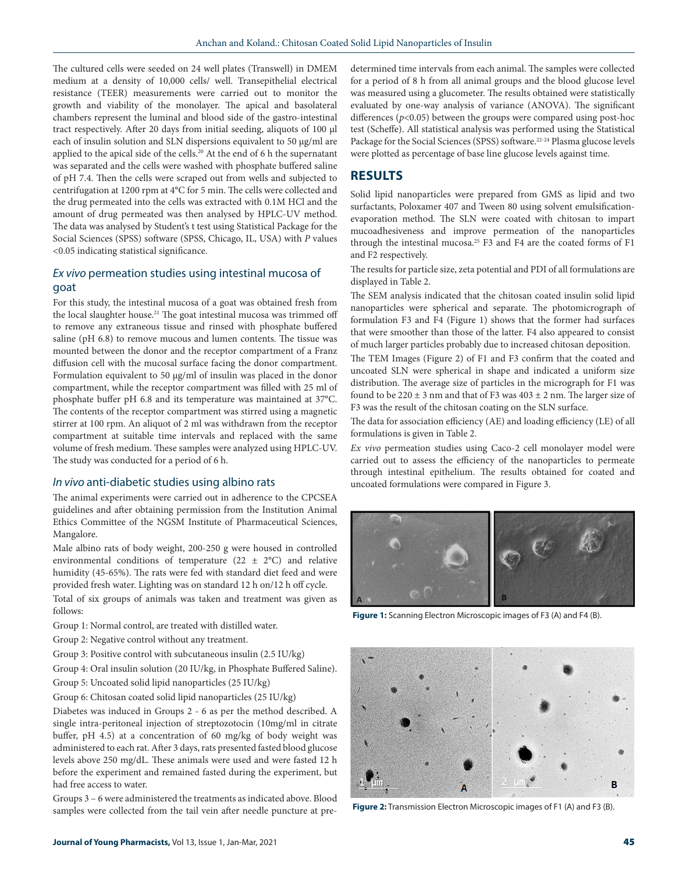The cultured cells were seeded on 24 well plates (Transwell) in DMEM medium at a density of 10,000 cells/ well. Transepithelial electrical resistance (TEER) measurements were carried out to monitor the growth and viability of the monolayer. The apical and basolateral chambers represent the luminal and blood side of the gastro-intestinal tract respectively. After 20 days from initial seeding, aliquots of 100 µl each of insulin solution and SLN dispersions equivalent to 50 µg/ml are applied to the apical side of the cells.20 At the end of 6 h the supernatant was separated and the cells were washed with phosphate buffered saline of pH 7.4. Then the cells were scraped out from wells and subjected to centrifugation at 1200 rpm at 4°C for 5 min. The cells were collected and the drug permeated into the cells was extracted with 0.1M HCl and the amount of drug permeated was then analysed by HPLC-UV method. The data was analysed by Student's t test using Statistical Package for the Social Sciences (SPSS) software (SPSS, Chicago, IL, USA) with *P* values <0.05 indicating statistical significance.

# *Ex vivo* permeation studies using intestinal mucosa of goat

For this study, the intestinal mucosa of a goat was obtained fresh from the local slaughter house.<sup>21</sup> The goat intestinal mucosa was trimmed off to remove any extraneous tissue and rinsed with phosphate buffered saline (pH 6.8) to remove mucous and lumen contents. The tissue was mounted between the donor and the receptor compartment of a Franz diffusion cell with the mucosal surface facing the donor compartment. Formulation equivalent to 50 µg/ml of insulin was placed in the donor compartment, while the receptor compartment was filled with 25 ml of phosphate buffer pH 6.8 and its temperature was maintained at 37°C. The contents of the receptor compartment was stirred using a magnetic stirrer at 100 rpm. An aliquot of 2 ml was withdrawn from the receptor compartment at suitable time intervals and replaced with the same volume of fresh medium. These samples were analyzed using HPLC-UV. The study was conducted for a period of 6 h.

## *In vivo* anti-diabetic studies using albino rats

The animal experiments were carried out in adherence to the CPCSEA guidelines and after obtaining permission from the Institution Animal Ethics Committee of the NGSM Institute of Pharmaceutical Sciences, Mangalore.

Male albino rats of body weight, 200-250 g were housed in controlled environmental conditions of temperature (22  $\pm$  2°C) and relative humidity (45-65%). The rats were fed with standard diet feed and were provided fresh water. Lighting was on standard 12 h on/12 h off cycle.

Total of six groups of animals was taken and treatment was given as follows:

- Group 1: Normal control, are treated with distilled water.
- Group 2: Negative control without any treatment.
- Group 3: Positive control with subcutaneous insulin (2.5 IU/kg)
- Group 4: Oral insulin solution (20 IU/kg, in Phosphate Buffered Saline).
- Group 5: Uncoated solid lipid nanoparticles (25 IU/kg)
- Group 6: Chitosan coated solid lipid nanoparticles (25 IU/kg)

Diabetes was induced in Groups 2 - 6 as per the method described. A single intra-peritoneal injection of streptozotocin (10mg/ml in citrate buffer, pH 4.5) at a concentration of 60 mg/kg of body weight was administered to each rat. After 3 days, rats presented fasted blood glucose levels above 250 mg/dL. These animals were used and were fasted 12 h before the experiment and remained fasted during the experiment, but had free access to water.

Groups 3 – 6 were administered the treatments as indicated above. Blood samples were collected from the tail vein after needle puncture at predetermined time intervals from each animal. The samples were collected for a period of 8 h from all animal groups and the blood glucose level was measured using a glucometer. The results obtained were statistically evaluated by one-way analysis of variance (ANOVA). The significant differences (*p*<0.05) between the groups were compared using post-hoc test (Scheffe). All statistical analysis was performed using the Statistical Package for the Social Sciences (SPSS) software.<sup>22-24</sup> Plasma glucose levels were plotted as percentage of base line glucose levels against time.

# **RESULTS**

Solid lipid nanoparticles were prepared from GMS as lipid and two surfactants, Poloxamer 407 and Tween 80 using solvent emulsificationevaporation method. The SLN were coated with chitosan to impart mucoadhesiveness and improve permeation of the nanoparticles through the intestinal mucosa.<sup>25</sup> F3 and F4 are the coated forms of F1 and F2 respectively.

The results for particle size, zeta potential and PDI of all formulations are displayed in Table 2.

The SEM analysis indicated that the chitosan coated insulin solid lipid nanoparticles were spherical and separate. The photomicrograph of formulation F3 and F4 (Figure 1) shows that the former had surfaces that were smoother than those of the latter. F4 also appeared to consist of much larger particles probably due to increased chitosan deposition.

The TEM Images (Figure 2) of F1 and F3 confirm that the coated and uncoated SLN were spherical in shape and indicated a uniform size distribution. The average size of particles in the micrograph for F1 was found to be  $220 \pm 3$  nm and that of F3 was  $403 \pm 2$  nm. The larger size of F3 was the result of the chitosan coating on the SLN surface.

The data for association efficiency (AE) and loading efficiency (LE) of all formulations is given in Table 2.

*Ex vivo* permeation studies using Caco-2 cell monolayer model were carried out to assess the efficiency of the nanoparticles to permeate through intestinal epithelium. The results obtained for coated and uncoated formulations were compared in Figure 3.



**Figure 1:** Scanning Electron Microscopic images of F3 (A) and F4 (B).



**Figure 2:** Transmission Electron Microscopic images of F1 (A) and F3 (B).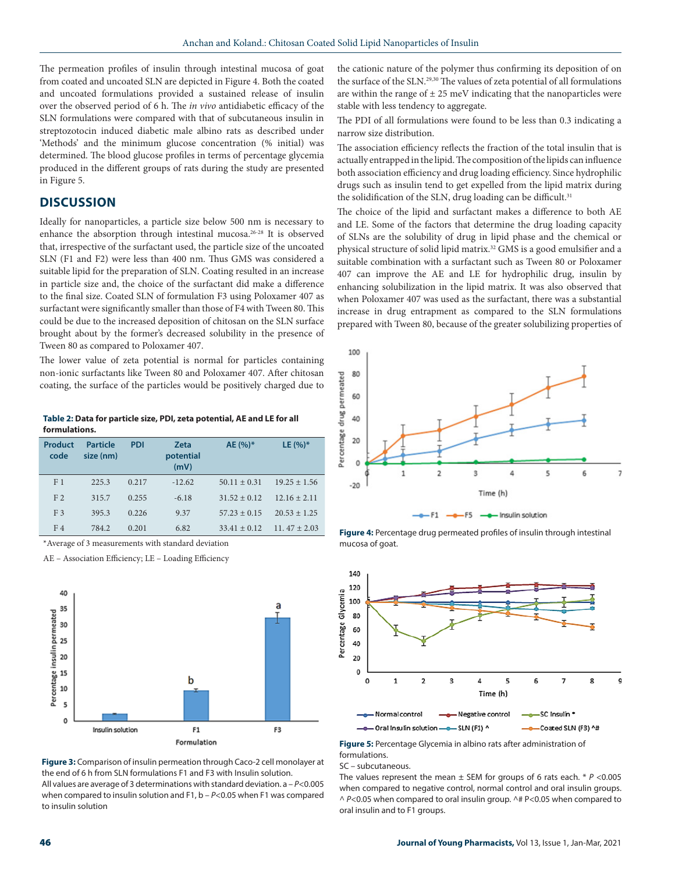The permeation profiles of insulin through intestinal mucosa of goat from coated and uncoated SLN are depicted in Figure 4. Both the coated and uncoated formulations provided a sustained release of insulin over the observed period of 6 h. The *in vivo* antidiabetic efficacy of the SLN formulations were compared with that of subcutaneous insulin in streptozotocin induced diabetic male albino rats as described under 'Methods' and the minimum glucose concentration (% initial) was determined. The blood glucose profiles in terms of percentage glycemia produced in the different groups of rats during the study are presented in Figure 5.

# **DISCUSSION**

Ideally for nanoparticles, a particle size below 500 nm is necessary to enhance the absorption through intestinal mucosa.<sup>26-28</sup> It is observed that, irrespective of the surfactant used, the particle size of the uncoated SLN (F1 and F2) were less than 400 nm. Thus GMS was considered a suitable lipid for the preparation of SLN. Coating resulted in an increase in particle size and, the choice of the surfactant did make a difference to the final size. Coated SLN of formulation F3 using Poloxamer 407 as surfactant were significantly smaller than those of F4 with Tween 80. This could be due to the increased deposition of chitosan on the SLN surface brought about by the former's decreased solubility in the presence of Tween 80 as compared to Poloxamer 407.

The lower value of zeta potential is normal for particles containing non-ionic surfactants like Tween 80 and Poloxamer 407. After chitosan coating, the surface of the particles would be positively charged due to

**Table 2: Data for particle size, PDI, zeta potential, AE and LE for all formulations.**

| Product<br>code | <b>Particle</b><br>size (nm) | <b>PDI</b> | <b>Zeta</b><br>potential<br>(mV) | $AE(%)^*$        | LE $(%)^*$       |
|-----------------|------------------------------|------------|----------------------------------|------------------|------------------|
| F <sub>1</sub>  | 2253                         | 0.217      | $-12.62$                         | $50.11 + 0.31$   | $19.25 + 1.56$   |
| F <sub>2</sub>  | 315.7                        | 0.255      | $-6.18$                          | $31.52 \pm 0.12$ | $12.16 \pm 2.11$ |
| F <sub>3</sub>  | 395.3                        | 0.226      | 9.37                             | $57.23 + 0.15$   | $20.53 + 1.25$   |
| F <sub>4</sub>  | 784.2                        | 0.201      | 6.82                             | $33.41 + 0.12$   | $11.47 + 2.03$   |

\*Average of 3 measurements with standard deviation

AE – Association Efficiency; LE – Loading Efficiency



**Figure 3:** Comparison of insulin permeation through Caco-2 cell monolayer at the end of 6 h from SLN formulations F1 and F3 with Insulin solution. All values are average of 3 determinations with standard deviation. a – *P*<0.005 when compared to insulin solution and F1, b -  $P$  < 0.05 when F1 was compared to insulin solution

the cationic nature of the polymer thus confirming its deposition of on the surface of the SLN.<sup>29,30</sup> The values of zeta potential of all formulations are within the range of  $\pm 25$  meV indicating that the nanoparticles were stable with less tendency to aggregate.

The PDI of all formulations were found to be less than 0.3 indicating a narrow size distribution.

The association efficiency reflects the fraction of the total insulin that is actually entrapped in the lipid. The composition of the lipids can influence both association efficiency and drug loading efficiency. Since hydrophilic drugs such as insulin tend to get expelled from the lipid matrix during the solidification of the SLN, drug loading can be difficult.<sup>31</sup>

The choice of the lipid and surfactant makes a difference to both AE and LE. Some of the factors that determine the drug loading capacity of SLNs are the solubility of drug in lipid phase and the chemical or physical structure of solid lipid matrix.<sup>32</sup> GMS is a good emulsifier and a suitable combination with a surfactant such as Tween 80 or Poloxamer 407 can improve the AE and LE for hydrophilic drug, insulin by enhancing solubilization in the lipid matrix. It was also observed that when Poloxamer 407 was used as the surfactant, there was a substantial increase in drug entrapment as compared to the SLN formulations prepared with Tween 80, because of the greater solubilizing properties of



**Figure 4:** Percentage drug permeated profiles of insulin through intestinal mucosa of goat.



**Figure 5:** Percentage Glycemia in albino rats after administration of formulations.

SC – subcutaneous.

The values represent the mean  $\pm$  SEM for groups of 6 rats each.  $*$   $P$  <0.005 when compared to negative control, normal control and oral insulin groups. ^ *P*<0.05 when compared to oral insulin group. ^# P<0.05 when compared to oral insulin and to F1 groups.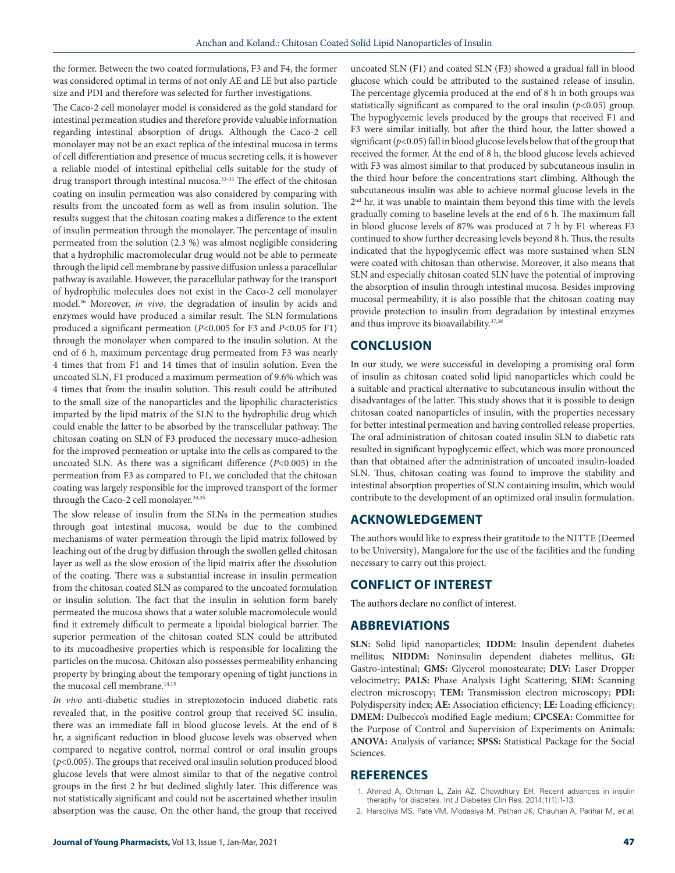the former. Between the two coated formulations, F3 and F4, the former was considered optimal in terms of not only AE and LE but also particle size and PDI and therefore was selected for further investigations.

The Caco-2 cell monolayer model is considered as the gold standard for intestinal permeation studies and therefore provide valuable information regarding intestinal absorption of drugs. Although the Caco-2 cell monolayer may not be an exact replica of the intestinal mucosa in terms of cell differentiation and presence of mucus secreting cells, it is however a reliable model of intestinal epithelial cells suitable for the study of drug transport through intestinal mucosa.33-35 The effect of the chitosan coating on insulin permeation was also considered by comparing with results from the uncoated form as well as from insulin solution. The results suggest that the chitosan coating makes a difference to the extent of insulin permeation through the monolayer. The percentage of insulin permeated from the solution (2.3 %) was almost negligible considering that a hydrophilic macromolecular drug would not be able to permeate through the lipid cell membrane by passive diffusion unless a paracellular pathway is available. However, the paracellular pathway for the transport of hydrophilic molecules does not exist in the Caco-2 cell monolayer model.36 Moreover, *in vivo*, the degradation of insulin by acids and enzymes would have produced a similar result. The SLN formulations produced a significant permeation (*P*<0.005 for F3 and *P*<0.05 for F1) through the monolayer when compared to the insulin solution. At the end of 6 h, maximum percentage drug permeated from F3 was nearly 4 times that from F1 and 14 times that of insulin solution. Even the uncoated SLN, F1 produced a maximum permeation of 9.6% which was 4 times that from the insulin solution. This result could be attributed to the small size of the nanoparticles and the lipophilic characteristics imparted by the lipid matrix of the SLN to the hydrophilic drug which could enable the latter to be absorbed by the transcellular pathway. The chitosan coating on SLN of F3 produced the necessary muco-adhesion for the improved permeation or uptake into the cells as compared to the uncoated SLN. As there was a significant difference (*P*<0.005) in the permeation from F3 as compared to F1, we concluded that the chitosan coating was largely responsible for the improved transport of the former through the Caco-2 cell monolayer.<sup>34,35</sup>

The slow release of insulin from the SLNs in the permeation studies through goat intestinal mucosa, would be due to the combined mechanisms of water permeation through the lipid matrix followed by leaching out of the drug by diffusion through the swollen gelled chitosan layer as well as the slow erosion of the lipid matrix after the dissolution of the coating. There was a substantial increase in insulin permeation from the chitosan coated SLN as compared to the uncoated formulation or insulin solution. The fact that the insulin in solution form barely permeated the mucosa shows that a water soluble macromolecule would find it extremely difficult to permeate a lipoidal biological barrier. The superior permeation of the chitosan coated SLN could be attributed to its mucoadhesive properties which is responsible for localizing the particles on the mucosa. Chitosan also possesses permeability enhancing property by bringing about the temporary opening of tight junctions in the mucosal cell membrane.<sup>14,15</sup>

*In vivo* anti-diabetic studies in streptozotocin induced diabetic rats revealed that, in the positive control group that received SC insulin, there was an immediate fall in blood glucose levels. At the end of 8 hr, a significant reduction in blood glucose levels was observed when compared to negative control, normal control or oral insulin groups (*p*<0.005). The groups that received oral insulin solution produced blood glucose levels that were almost similar to that of the negative control groups in the first 2 hr but declined slightly later. This difference was not statistically significant and could not be ascertained whether insulin absorption was the cause. On the other hand, the group that received

uncoated SLN (F1) and coated SLN (F3) showed a gradual fall in blood glucose which could be attributed to the sustained release of insulin. The percentage glycemia produced at the end of 8 h in both groups was statistically significant as compared to the oral insulin  $(p<0.05)$  group. The hypoglycemic levels produced by the groups that received F1 and F3 were similar initially, but after the third hour, the latter showed a significant (*p*<0.05) fall in blood glucose levels below that of the group that received the former. At the end of 8 h, the blood glucose levels achieved with F3 was almost similar to that produced by subcutaneous insulin in the third hour before the concentrations start climbing. Although the subcutaneous insulin was able to achieve normal glucose levels in the 2<sup>nd</sup> hr, it was unable to maintain them beyond this time with the levels gradually coming to baseline levels at the end of 6 h. The maximum fall in blood glucose levels of 87% was produced at 7 h by F1 whereas F3 continued to show further decreasing levels beyond 8 h. Thus, the results indicated that the hypoglycemic effect was more sustained when SLN were coated with chitosan than otherwise. Moreover, it also means that SLN and especially chitosan coated SLN have the potential of improving the absorption of insulin through intestinal mucosa. Besides improving mucosal permeability, it is also possible that the chitosan coating may provide protection to insulin from degradation by intestinal enzymes and thus improve its bioavailability.<sup>37,38</sup>

# **CONCLUSION**

In our study, we were successful in developing a promising oral form of insulin as chitosan coated solid lipid nanoparticles which could be a suitable and practical alternative to subcutaneous insulin without the disadvantages of the latter. This study shows that it is possible to design chitosan coated nanoparticles of insulin, with the properties necessary for better intestinal permeation and having controlled release properties. The oral administration of chitosan coated insulin SLN to diabetic rats resulted in significant hypoglycemic effect, which was more pronounced than that obtained after the administration of uncoated insulin-loaded SLN. Thus, chitosan coating was found to improve the stability and intestinal absorption properties of SLN containing insulin, which would contribute to the development of an optimized oral insulin formulation.

# **ACKNOWLEDGEMENT**

The authors would like to express their gratitude to the NITTE (Deemed to be University), Mangalore for the use of the facilities and the funding necessary to carry out this project.

# **CONFLICT OF INTEREST**

The authors declare no conflict of interest.

# **ABBREVIATIONS**

**SLN:** Solid lipid nanoparticles; **IDDM:** Insulin dependent diabetes mellitus; **NIDDM:** Noninsulin dependent diabetes mellitus, **GI:**  Gastro-intestinal; **GMS:** Glycerol monostearate; **DLV:** Laser Dropper velocimetry; **PALS:** Phase Analysis Light Scattering; **SEM:** Scanning electron microscopy; **TEM:** Transmission electron microscopy; **PDI:**  Polydispersity index; **AE:** Association efficiency; **LE:** Loading efficiency; **DMEM:** Dulbecco's modified Eagle medium; **CPCSEA:** Committee for the Purpose of Control and Supervision of Experiments on Animals; **ANOVA:** Analysis of variance; **SPSS:** Statistical Package for the Social Sciences.

# **REFERENCES**

- 1. Ahmad A, Othman L, Zain AZ, Chowdhury EH. Recent advances in insulin theraphy for diabetes. Int J Diabetes Clin Res. 2014;1(1):1-13.
- 2. Harsoliya MS, Pate VM, Modasiya M, Pathan JK, Chauhan A, Parihar M, *et al*.